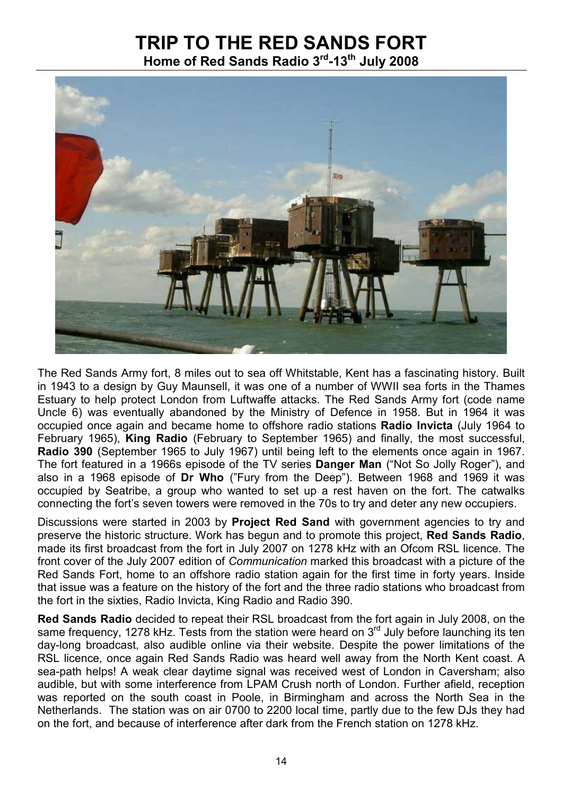## TRIP TO THE RED SANDS FORT

Home of Red Sands Radio 3<sup>rd</sup>-13<sup>th</sup> July 2008



The Red Sands Army fort, 8 miles out to sea off Whitstable, Kent has a fascinating history. Built in 1943 to a design by Guy Maunsell, it was one of a number of WWII sea forts in the Thames Estuary to help protect London from Luftwaffe attacks. The Red Sands Army fort (code name Uncle 6) was eventually abandoned by the Ministry of Defence in 1958. But in 1964 it was occupied once again and became home to offshore radio stations Radio Invicta (July 1964 to February 1965), King Radio (February to September 1965) and finally, the most successful, Radio 390 (September 1965 to July 1967) until being left to the elements once again in 1967. The fort featured in a 1966s episode of the TV series **Danger Man** ("Not So Jolly Roger"), and also in a 1968 episode of Dr Who ("Fury from the Deep"). Between 1968 and 1969 it was occupied by Seatribe, a group who wanted to set up a rest haven on the fort. The catwalks connecting the fort's seven towers were removed in the 70s to try and deter any new occupiers.

Discussions were started in 2003 by Project Red Sand with government agencies to try and preserve the historic structure. Work has begun and to promote this project, Red Sands Radio, made its first broadcast from the fort in July 2007 on 1278 kHz with an Ofcom RSL licence. The front cover of the July 2007 edition of Communication marked this broadcast with a picture of the Red Sands Fort, home to an offshore radio station again for the first time in forty years. Inside that issue was a feature on the history of the fort and the three radio stations who broadcast from the fort in the sixties, Radio Invicta, King Radio and Radio 390.

Red Sands Radio decided to repeat their RSL broadcast from the fort again in July 2008, on the same frequency, 1278 kHz. Tests from the station were heard on  $3<sup>rd</sup>$  July before launching its ten day-long broadcast, also audible online via their website. Despite the power limitations of the RSL licence, once again Red Sands Radio was heard well away from the North Kent coast. A sea-path helps! A weak clear daytime signal was received west of London in Caversham; also audible, but with some interference from LPAM Crush north of London. Further afield, reception was reported on the south coast in Poole, in Birmingham and across the North Sea in the Netherlands. The station was on air 0700 to 2200 local time, partly due to the few DJs they had on the fort, and because of interference after dark from the French station on 1278 kHz.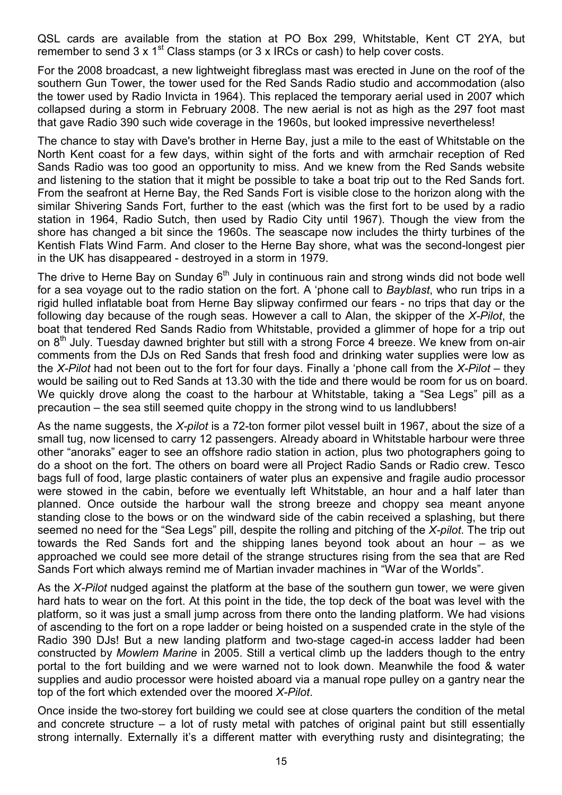QSL cards are available from the station at PO Box 299, Whitstable, Kent CT 2YA, but remember to send 3 x 1<sup>st</sup> Class stamps (or 3 x IRCs or cash) to help cover costs.

For the 2008 broadcast, a new lightweight fibreglass mast was erected in June on the roof of the southern Gun Tower, the tower used for the Red Sands Radio studio and accommodation (also the tower used by Radio Invicta in 1964). This replaced the temporary aerial used in 2007 which collapsed during a storm in February 2008. The new aerial is not as high as the 297 foot mast that gave Radio 390 such wide coverage in the 1960s, but looked impressive nevertheless!

The chance to stay with Dave's brother in Herne Bay, just a mile to the east of Whitstable on the North Kent coast for a few days, within sight of the forts and with armchair reception of Red Sands Radio was too good an opportunity to miss. And we knew from the Red Sands website and listening to the station that it might be possible to take a boat trip out to the Red Sands fort. From the seafront at Herne Bay, the Red Sands Fort is visible close to the horizon along with the similar Shivering Sands Fort, further to the east (which was the first fort to be used by a radio station in 1964, Radio Sutch, then used by Radio City until 1967). Though the view from the shore has changed a bit since the 1960s. The seascape now includes the thirty turbines of the Kentish Flats Wind Farm. And closer to the Herne Bay shore, what was the second-longest pier in the UK has disappeared - destroyed in a storm in 1979.

The drive to Herne Bay on Sunday  $6<sup>th</sup>$  July in continuous rain and strong winds did not bode well for a sea voyage out to the radio station on the fort. A 'phone call to Bayblast, who run trips in a rigid hulled inflatable boat from Herne Bay slipway confirmed our fears - no trips that day or the following day because of the rough seas. However a call to Alan, the skipper of the X-Pilot, the boat that tendered Red Sands Radio from Whitstable, provided a glimmer of hope for a trip out on 8<sup>th</sup> July. Tuesday dawned brighter but still with a strong Force 4 breeze. We knew from on-air comments from the DJs on Red Sands that fresh food and drinking water supplies were low as the X-Pilot had not been out to the fort for four days. Finally a 'phone call from the X-Pilot – they would be sailing out to Red Sands at 13.30 with the tide and there would be room for us on board. We quickly drove along the coast to the harbour at Whitstable, taking a "Sea Legs" pill as a precaution – the sea still seemed quite choppy in the strong wind to us landlubbers!

As the name suggests, the X-pilot is a 72-ton former pilot vessel built in 1967, about the size of a small tug, now licensed to carry 12 passengers. Already aboard in Whitstable harbour were three other "anoraks" eager to see an offshore radio station in action, plus two photographers going to do a shoot on the fort. The others on board were all Project Radio Sands or Radio crew. Tesco bags full of food, large plastic containers of water plus an expensive and fragile audio processor were stowed in the cabin, before we eventually left Whitstable, an hour and a half later than planned. Once outside the harbour wall the strong breeze and choppy sea meant anyone standing close to the bows or on the windward side of the cabin received a splashing, but there seemed no need for the "Sea Legs" pill, despite the rolling and pitching of the X-pilot. The trip out towards the Red Sands fort and the shipping lanes beyond took about an hour – as we approached we could see more detail of the strange structures rising from the sea that are Red Sands Fort which always remind me of Martian invader machines in "War of the Worlds".

As the X-Pilot nudged against the platform at the base of the southern gun tower, we were given hard hats to wear on the fort. At this point in the tide, the top deck of the boat was level with the platform, so it was just a small jump across from there onto the landing platform. We had visions of ascending to the fort on a rope ladder or being hoisted on a suspended crate in the style of the Radio 390 DJs! But a new landing platform and two-stage caged-in access ladder had been constructed by Mowlem Marine in 2005. Still a vertical climb up the ladders though to the entry portal to the fort building and we were warned not to look down. Meanwhile the food & water supplies and audio processor were hoisted aboard via a manual rope pulley on a gantry near the top of the fort which extended over the moored X-Pilot.

Once inside the two-storey fort building we could see at close quarters the condition of the metal and concrete structure – a lot of rusty metal with patches of original paint but still essentially strong internally. Externally it's a different matter with everything rusty and disintegrating; the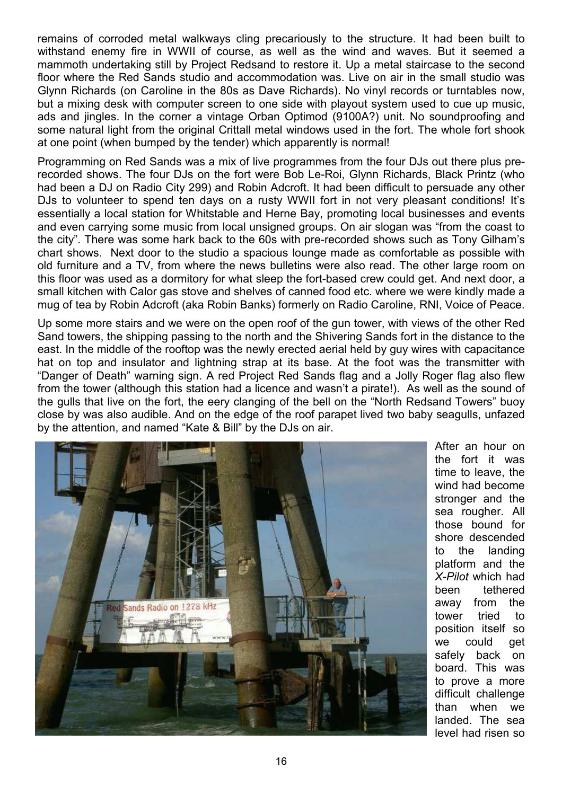remains of corroded metal walkways cling precariously to the structure. It had been built to withstand enemy fire in WWII of course, as well as the wind and waves. But it seemed a mammoth undertaking still by Project Redsand to restore it. Up a metal staircase to the second floor where the Red Sands studio and accommodation was. Live on air in the small studio was Glynn Richards (on Caroline in the 80s as Dave Richards). No vinyl records or turntables now, but a mixing desk with computer screen to one side with playout system used to cue up music, ads and jingles. In the corner a vintage Orban Optimod (9100A?) unit. No soundproofing and some natural light from the original Crittall metal windows used in the fort. The whole fort shook at one point (when bumped by the tender) which apparently is normal!

Programming on Red Sands was a mix of live programmes from the four DJs out there plus prerecorded shows. The four DJs on the fort were Bob Le-Roi, Glynn Richards, Black Printz (who had been a DJ on Radio City 299) and Robin Adcroft. It had been difficult to persuade any other DJs to volunteer to spend ten days on a rusty WWII fort in not very pleasant conditions! It's essentially a local station for Whitstable and Herne Bay, promoting local businesses and events and even carrying some music from local unsigned groups. On air slogan was "from the coast to the city". There was some hark back to the 60s with pre-recorded shows such as Tony Gilham's chart shows. Next door to the studio a spacious lounge made as comfortable as possible with old furniture and a TV, from where the news bulletins were also read. The other large room on this floor was used as a dormitory for what sleep the fort-based crew could get. And next door, a small kitchen with Calor gas stove and shelves of canned food etc. where we were kindly made a mug of tea by Robin Adcroft (aka Robin Banks) formerly on Radio Caroline, RNI, Voice of Peace.

Up some more stairs and we were on the open roof of the gun tower, with views of the other Red Sand towers, the shipping passing to the north and the Shivering Sands fort in the distance to the east. In the middle of the rooftop was the newly erected aerial held by guy wires with capacitance hat on top and insulator and lightning strap at its base. At the foot was the transmitter with "Danger of Death" warning sign. A red Project Red Sands flag and a Jolly Roger flag also flew from the tower (although this station had a licence and wasn't a pirate!). As well as the sound of the gulls that live on the fort, the eery clanging of the bell on the "North Redsand Towers" buoy close by was also audible. And on the edge of the roof parapet lived two baby seagulls, unfazed by the attention, and named "Kate & Bill" by the DJs on air.



After an hour on the fort it was time to leave, the wind had become stronger and the sea rougher. All those bound for shore descended to the landing platform and the X-Pilot which had been tethered away from the tower tried to position itself so we could get safely back on board. This was to prove a more difficult challenge than when we landed. The sea level had risen so